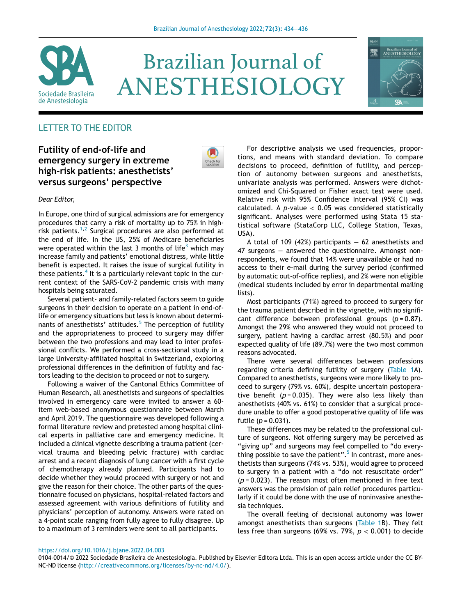

# **Brazilian Journal of** ANESTHESIOLOGY



# LETTER TO THE EDITOR

# Futility of end-of-life and emergency surgery in extreme high-risk patients: anesthetists' versus surgeons' perspective



## Dear Editor,

In Europe, one third of surgical admissions are for emergency procedures that carry a risk of mortality up to 75% in highrisk patients.[1,](#page-2-0)[2](#page-2-1) Surgical procedures are also performed at the end of life. In the US, 25% of Medicare beneficiaries were operated within the last [3](#page-2-2) months of life<sup>3</sup> which may increase family and patients' emotional distress, while little benefit is expected. It raises the issue of surgical futility in these patients.<sup>[4](#page-2-3)</sup> It is a particularly relevant topic in the current context of the SARS-CoV-2 pandemic crisis with many hospitals being saturated.

Several patient- and family-related factors seem to guide surgeons in their decision to operate on a patient in end-oflife or emergency situations but less is known about determinants of anesthetists' attitudes. $5$  The perception of futility and the appropriateness to proceed to surgery may differ between the two professions and may lead to inter professional conflicts. We performed a cross-sectional study in a large University-affiliated hospital in Switzerland, exploring professional differences in the definition of futility and factors leading to the decision to proceed or not to surgery.

Following a waiver of the Cantonal Ethics Committee of Human Research, all anesthetists and surgeons of specialties involved in emergency care were invited to answer a 60 item web-based anonymous questionnaire between March and April 2019. The questionnaire was developed following a formal literature review and pretested among hospital clinical experts in palliative care and emergency medicine. It included a clinical vignette describing a trauma patient (cervical trauma and bleeding pelvic fracture) with cardiac arrest and a recent diagnosis of lung cancer with a first cycle of chemotherapy already planned. Participants had to decide whether they would proceed with surgery or not and give the reason for their choice. The other parts of the questionnaire focused on physicians, hospital-related factors and assessed agreement with various definitions of futility and physicians' perception of autonomy. Answers were rated on a 4-point scale ranging from fully agree to fully disagree. Up to a maximum of 3 reminders were sent to all participants.

For descriptive analysis we used frequencies, proportions, and means with standard deviation. To compare decisions to proceed, definition of futility, and perception of autonomy between surgeons and anesthetists, univariate analysis was performed. Answers were dichotomized and Chi-Squared or Fisher exact test were used. Relative risk with 95% Confidence Interval (95% CI) was calculated. A p-value  $< 0.05$  was considered statistically significant. Analyses were performed using Stata 15 statistical software (StataCorp LLC, College Station, Texas, USA).

A total of 109 (42%) participants − 62 anesthetists and 47 surgeons – answered the questionnaire. Amongst nonrespondents, we found that 14% were unavailable or had no access to their e-mail during the survey period (confirmed by automatic out-of-office replies), and 2% were non eligible (medical students included by error in departmental mailing lists).

Most participants (71%) agreed to proceed to surgery for the trauma patient described in the vignette, with no significant difference between professional groups  $(p = 0.87)$ . Amongst the 29% who answered they would not proceed to surgery, patient having a cardiac arrest (80.5%) and poor expected quality of life (89.7%) were the two most common reasons advocated.

There were several differences between professions regarding criteria defining futility of surgery [\(Table 1A](#page-1-0)). Compared to anesthetists, surgeons were more likely to proceed to surgery (79% vs. 60%), despite uncertain postoperative benefit ( $p = 0.035$ ). They were also less likely than anesthetists (40% vs. 61%) to consider that a surgical procedure unable to offer a good postoperative quality of life was futile ( $p = 0.031$ ).

These differences may be related to the professional culture of surgeons. Not offering surgery may be perceived as "giving up" and surgeons may feel compelled to "do everything possible to save the patient". [5](#page-2-4) In contrast, more anesthetists than surgeons (74% vs. 53%), would agree to proceed to surgery in a patient with a "do not resuscitate order"  $(p = 0.023)$ . The reason most often mentioned in free text answers was the provision of pain relief procedures particularly if it could be done with the use of noninvasive anesthesia techniques.

The overall feeling of decisional autonomy was lower amongst anesthetists than surgeons ([Table 1B](#page-1-0)). They felt less free than surgeons (69% vs. 79%,  $p < 0.001$ ) to decide

#### <https://doi.org/10.1016/j.bjane.2022.04.003>

0104-0014/© 2022 Sociedade Brasileira de Anestesiologia. Published by Elsevier Editora Ltda. This is an open access article under the CC BY-NC-ND license [\(http://creativecommons.org/licenses/by-nc-nd/4.0/](http://creativecommons.org/licenses/by-nc-nd/4.0/)).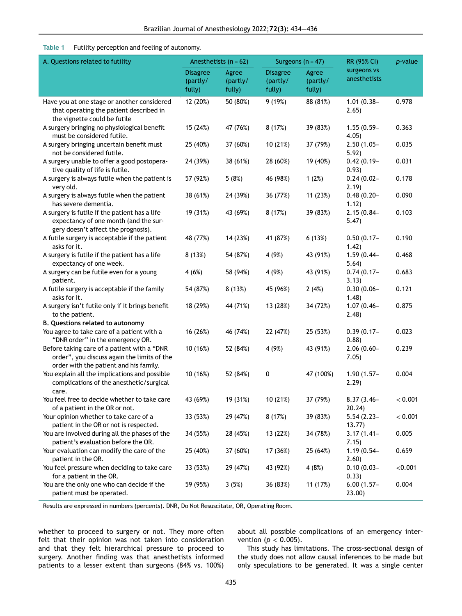### Table 1 Futility perception and feeling of autonomy.

<span id="page-1-0"></span>

| A. Questions related to futility                                                                                                     | Anesthetists $(n = 62)$               |                             | Surgeons ( $n = 47$ )                 |                             | RR (95% CI)                 | $p$ -value |
|--------------------------------------------------------------------------------------------------------------------------------------|---------------------------------------|-----------------------------|---------------------------------------|-----------------------------|-----------------------------|------------|
|                                                                                                                                      | <b>Disagree</b><br>(partly/<br>fully) | Agree<br>(partly/<br>fully) | <b>Disagree</b><br>(partly/<br>fully) | Agree<br>(partly/<br>fully) | surgeons vs<br>anesthetists |            |
| Have you at one stage or another considered<br>that operating the patient described in<br>the vignette could be futile               | 12 (20%)                              | 50 (80%)                    | 9 (19%)                               | 88 (81%)                    | $1.01(0.38 -$<br>2.65)      | 0.978      |
| A surgery bringing no physiological benefit<br>must be considered futile.                                                            | 15 (24%)                              | 47 (76%)                    | 8(17%)                                | 39 (83%)                    | $1.55(0.59 -$<br>4.05)      | 0.363      |
| A surgery bringing uncertain benefit must<br>not be considered futile.                                                               | 25 (40%)                              | 37 (60%)                    | 10 (21%)                              | 37 (79%)                    | $2.50(1.05 -$<br>5.92)      | 0.035      |
| A surgery unable to offer a good postopera-<br>tive quality of life is futile.                                                       | 24 (39%)                              | 38 (61%)                    | 28 (60%)                              | 19 (40%)                    | $0.42(0.19 -$<br>0.93)      | 0.031      |
| A surgery is always futile when the patient is<br>very old.                                                                          | 57 (92%)                              | 5(8%)                       | 46 (98%)                              | 1(2%)                       | $0.24(0.02 -$<br>2.19)      | 0.178      |
| A surgery is always futile when the patient<br>has severe dementia.                                                                  | 38 (61%)                              | 24 (39%)                    | 36 (77%)                              | 11 (23%)                    | $0.48(0.20 -$<br>1.12)      | 0.090      |
| A surgery is futile if the patient has a life<br>expectancy of one month (and the sur-<br>gery doesn't affect the prognosis).        | 19 (31%)                              | 43 (69%)                    | 8 (17%)                               | 39 (83%)                    | $2.15(0.84 -$<br>5.47)      | 0.103      |
| A futile surgery is acceptable if the patient<br>asks for it.                                                                        | 48 (77%)                              | 14 (23%)                    | 41 (87%)                              | 6(13%)                      | $0.50(0.17 -$<br>1.42)      | 0.190      |
| A surgery is futile if the patient has a life<br>expectancy of one week.                                                             | 8 (13%)                               | 54 (87%)                    | 4 (9%)                                | 43 (91%)                    | $1.59(0.44 -$<br>5.64)      | 0.468      |
| A surgery can be futile even for a young<br>patient.                                                                                 | 4(6%)                                 | 58 (94%)                    | 4 (9%)                                | 43 (91%)                    | $0.74(0.17 -$<br>3.13)      | 0.683      |
| A futile surgery is acceptable if the family<br>asks for it.                                                                         | 54 (87%)                              | 8(13%)                      | 45 (96%)                              | 2(4%)                       | $0.30(0.06 -$<br>1.48)      | 0.121      |
| A surgery isn't futile only if it brings benefit<br>to the patient.                                                                  | 18 (29%)                              | 44 (71%)                    | 13 (28%)                              | 34 (72%)                    | $1.07(0.46 -$<br>2.48)      | 0.875      |
| <b>B. Questions related to autonomy</b>                                                                                              |                                       |                             |                                       |                             |                             |            |
| You agree to take care of a patient with a<br>"DNR order" in the emergency OR.                                                       | 16 (26%)                              | 46 (74%)                    | 22 (47%)                              | 25 (53%)                    | $0.39(0.17 -$<br>0.88)      | 0.023      |
| Before taking care of a patient with a "DNR<br>order", you discuss again the limits of the<br>order with the patient and his family. | 10 (16%)                              | 52 (84%)                    | 4 (9%)                                | 43 (91%)                    | $2.06(0.60 -$<br>7.05)      | 0.239      |
| You explain all the implications and possible<br>complications of the anesthetic/surgical<br>care.                                   | 10 (16%)                              | 52 (84%)                    | $\pmb{0}$                             | 47 (100%)                   | $1.90(1.57 -$<br>2.29)      | 0.004      |
| You feel free to decide whether to take care<br>of a patient in the OR or not.                                                       | 43 (69%)                              | 19 (31%)                    | 10 (21%)                              | 37 (79%)                    | $8.37(3.46 -$<br>20.24)     | < 0.001    |
| Your opinion whether to take care of a<br>patient in the OR or not is respected.                                                     | 33 (53%)                              | 29 (47%)                    | 8(17%)                                | 39 (83%)                    | $5.54(2.23 -$<br>13.77      | < 0.001    |
| You are involved during all the phases of the<br>patient's evaluation before the OR.                                                 | 34 (55%)                              | 28 (45%)                    | 13 (22%)                              | 34 (78%)                    | $3.17(1.41 -$<br>7.15)      | 0.005      |
| Your evaluation can modify the care of the<br>patient in the OR.                                                                     | 25 (40%)                              | 37 (60%)                    | 17 (36%)                              | 25 (64%)                    | $1.19(0.54 -$<br>2.60)      | 0.659      |
| You feel pressure when deciding to take care<br>for a patient in the OR.                                                             | 33 (53%)                              | 29 (47%)                    | 43 (92%)                              | 4 (8%)                      | $0.10(0.03 -$<br>0.33)      | < 0.001    |
| You are the only one who can decide if the<br>patient must be operated.                                                              | 59 (95%)                              | 3(5%)                       | 36 (83%)                              | 11 (17%)                    | $6.00(1.57 -$<br>23.00)     | 0.004      |

Results are expressed in numbers (percents). DNR, Do Not Resuscitate, OR, Operating Room.

whether to proceed to surgery or not. They more often felt that their opinion was not taken into consideration and that they felt hierarchical pressure to proceed to surgery. Another finding was that anesthetists informed patients to a lesser extent than surgeons (84% vs. 100%) about all possible complications of an emergency intervention ( $p < 0.005$ ).

This study has limitations. The cross-sectional design of the study does not allow causal inferences to be made but only speculations to be generated. It was a single center